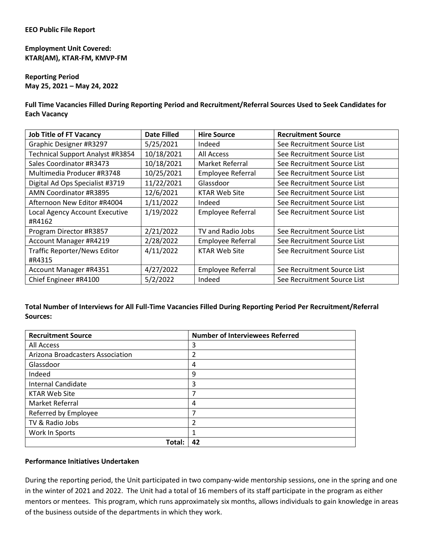## **Employment Unit Covered: KTAR(AM), KTAR-FM, KMVP-FM**

## **Reporting Period May 25, 2021 – May 24, 2022**

**Full Time Vacancies Filled During Reporting Period and Recruitment/Referral Sources Used to Seek Candidates for Each Vacancy**

| <b>Job Title of FT Vacancy</b>      | <b>Date Filled</b> | <b>Hire Source</b>       | <b>Recruitment Source</b>   |
|-------------------------------------|--------------------|--------------------------|-----------------------------|
| Graphic Designer #R3297             | 5/25/2021          | Indeed                   | See Recruitment Source List |
| Technical Support Analyst #R3854    | 10/18/2021         | <b>All Access</b>        | See Recruitment Source List |
| Sales Coordinator #R3473            | 10/18/2021         | Market Referral          | See Recruitment Source List |
| Multimedia Producer #R3748          | 10/25/2021         | Employee Referral        | See Recruitment Source List |
| Digital Ad Ops Specialist #3719     | 11/22/2021         | Glassdoor                | See Recruitment Source List |
| AMN Coordinator #R3895              | 12/6/2021          | <b>KTAR Web Site</b>     | See Recruitment Source List |
| Afternoon New Editor #R4004         | 1/11/2022          | Indeed                   | See Recruitment Source List |
| Local Agency Account Executive      | 1/19/2022          | Employee Referral        | See Recruitment Source List |
| #R4162                              |                    |                          |                             |
| Program Director #R3857             | 2/21/2022          | TV and Radio Jobs        | See Recruitment Source List |
| Account Manager #R4219              | 2/28/2022          | <b>Employee Referral</b> | See Recruitment Source List |
| <b>Traffic Reporter/News Editor</b> | 4/11/2022          | <b>KTAR Web Site</b>     | See Recruitment Source List |
| #R4315                              |                    |                          |                             |
| Account Manager #R4351              | 4/27/2022          | Employee Referral        | See Recruitment Source List |
| Chief Engineer #R4100               | 5/2/2022           | Indeed                   | See Recruitment Source List |

## **Total Number of Interviews for All Full-Time Vacancies Filled During Reporting Period Per Recruitment/Referral Sources:**

| <b>Recruitment Source</b>        | <b>Number of Interviewees Referred</b> |
|----------------------------------|----------------------------------------|
| All Access                       | 3                                      |
| Arizona Broadcasters Association | 2                                      |
| Glassdoor                        | 4                                      |
| Indeed                           | 9                                      |
| <b>Internal Candidate</b>        | 3                                      |
| <b>KTAR Web Site</b>             | 7                                      |
| Market Referral                  | 4                                      |
| Referred by Employee             | 7                                      |
| TV & Radio Jobs                  | 2                                      |
| Work In Sports                   |                                        |
| Total:                           | 42                                     |

## **Performance Initiatives Undertaken**

During the reporting period, the Unit participated in two company-wide mentorship sessions, one in the spring and one in the winter of 2021 and 2022. The Unit had a total of 16 members of its staff participate in the program as either mentors or mentees. This program, which runs approximately six months, allows individuals to gain knowledge in areas of the business outside of the departments in which they work.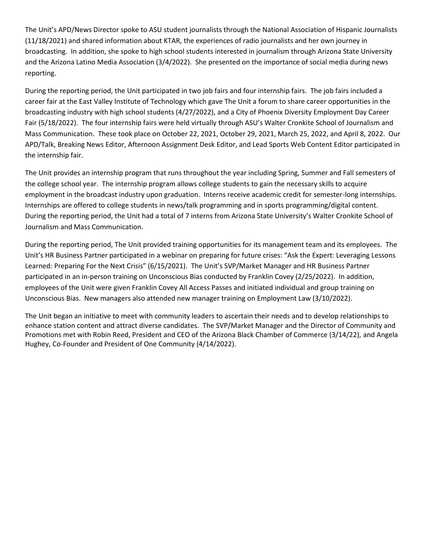The Unit's APD/News Director spoke to ASU student journalists through the National Association of Hispanic Journalists (11/18/2021) and shared information about KTAR, the experiences of radio journalists and her own journey in broadcasting. In addition, she spoke to high school students interested in journalism through Arizona State University and the Arizona Latino Media Association (3/4/2022). She presented on the importance of social media during news reporting.

During the reporting period, the Unit participated in two job fairs and four internship fairs. The job fairs included a career fair at the East Valley Institute of Technology which gave The Unit a forum to share career opportunities in the broadcasting industry with high school students (4/27/2022), and a City of Phoenix Diversity Employment Day Career Fair (5/18/2022). The four internship fairs were held virtually through ASU's Walter Cronkite School of Journalism and Mass Communication. These took place on October 22, 2021, October 29, 2021, March 25, 2022, and April 8, 2022. Our APD/Talk, Breaking News Editor, Afternoon Assignment Desk Editor, and Lead Sports Web Content Editor participated in the internship fair.

The Unit provides an internship program that runs throughout the year including Spring, Summer and Fall semesters of the college school year. The internship program allows college students to gain the necessary skills to acquire employment in the broadcast industry upon graduation. Interns receive academic credit for semester-long internships. Internships are offered to college students in news/talk programming and in sports programming/digital content. During the reporting period, the Unit had a total of 7 interns from Arizona State University's Walter Cronkite School of Journalism and Mass Communication.

During the reporting period, The Unit provided training opportunities for its management team and its employees. The Unit's HR Business Partner participated in a webinar on preparing for future crises: "Ask the Expert: Leveraging Lessons Learned: Preparing For the Next Crisis" (6/15/2021). The Unit's SVP/Market Manager and HR Business Partner participated in an in-person training on Unconscious Bias conducted by Franklin Covey (2/25/2022). In addition, employees of the Unit were given Franklin Covey All Access Passes and initiated individual and group training on Unconscious Bias. New managers also attended new manager training on Employment Law (3/10/2022).

The Unit began an initiative to meet with community leaders to ascertain their needs and to develop relationships to enhance station content and attract diverse candidates. The SVP/Market Manager and the Director of Community and Promotions met with Robin Reed, President and CEO of the Arizona Black Chamber of Commerce (3/14/22), and Angela Hughey, Co-Founder and President of One Community (4/14/2022).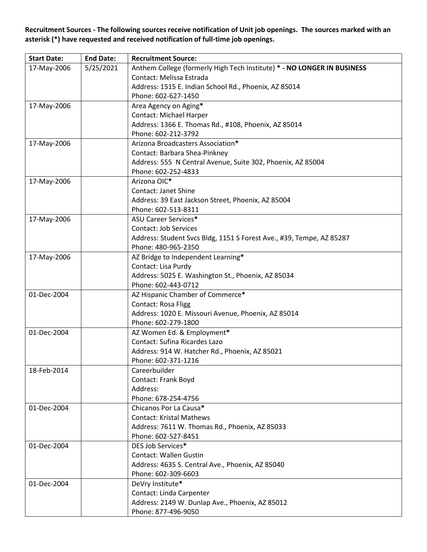**Recruitment Sources - The following sources receive notification of Unit job openings. The sources marked with an asterisk (\*) have requested and received notification of full-time job openings.**

| <b>Start Date:</b> | <b>End Date:</b> | <b>Recruitment Source:</b>                                              |
|--------------------|------------------|-------------------------------------------------------------------------|
| 17-May-2006        | 5/25/2021        | Anthem College (formerly High Tech Institute) * - NO LONGER IN BUSINESS |
|                    |                  | Contact: Melissa Estrada                                                |
|                    |                  | Address: 1515 E. Indian School Rd., Phoenix, AZ 85014                   |
|                    |                  | Phone: 602-627-1450                                                     |
| 17-May-2006        |                  | Area Agency on Aging*                                                   |
|                    |                  | Contact: Michael Harper                                                 |
|                    |                  | Address: 1366 E. Thomas Rd., #108, Phoenix, AZ 85014                    |
|                    |                  | Phone: 602-212-3792                                                     |
| 17-May-2006        |                  | Arizona Broadcasters Association*                                       |
|                    |                  | Contact: Barbara Shea-Pinkney                                           |
|                    |                  | Address: 555 N Central Avenue, Suite 302, Phoenix, AZ 85004             |
|                    |                  | Phone: 602-252-4833                                                     |
| 17-May-2006        |                  | Arizona OIC*                                                            |
|                    |                  | <b>Contact: Janet Shine</b>                                             |
|                    |                  | Address: 39 East Jackson Street, Phoenix, AZ 85004                      |
|                    |                  | Phone: 602-513-8311                                                     |
| 17-May-2006        |                  | <b>ASU Career Services*</b>                                             |
|                    |                  | <b>Contact: Job Services</b>                                            |
|                    |                  | Address: Student Svcs Bldg, 1151 S Forest Ave., #39, Tempe, AZ 85287    |
|                    |                  | Phone: 480-965-2350                                                     |
| 17-May-2006        |                  | AZ Bridge to Independent Learning*                                      |
|                    |                  | Contact: Lisa Purdy                                                     |
|                    |                  | Address: 5025 E. Washington St., Phoenix, AZ 85034                      |
|                    |                  | Phone: 602-443-0712                                                     |
| 01-Dec-2004        |                  | AZ Hispanic Chamber of Commerce*                                        |
|                    |                  | Contact: Rosa Fligg                                                     |
|                    |                  | Address: 1020 E. Missouri Avenue, Phoenix, AZ 85014                     |
|                    |                  | Phone: 602-279-1800                                                     |
| 01-Dec-2004        |                  | AZ Women Ed. & Employment*                                              |
|                    |                  | Contact: Sufina Ricardes Lazo                                           |
|                    |                  | Address: 914 W. Hatcher Rd., Phoenix, AZ 85021                          |
|                    |                  | Phone: 602-371-1216                                                     |
| 18-Feb-2014        |                  | Careerbuilder                                                           |
|                    |                  | Contact: Frank Boyd                                                     |
|                    |                  | Address:                                                                |
|                    |                  | Phone: 678-254-4756                                                     |
| 01-Dec-2004        |                  | Chicanos Por La Causa*                                                  |
|                    |                  | <b>Contact: Kristal Mathews</b>                                         |
|                    |                  | Address: 7611 W. Thomas Rd., Phoenix, AZ 85033                          |
|                    |                  | Phone: 602-527-8451                                                     |
| 01-Dec-2004        |                  | DES Job Services*                                                       |
|                    |                  | <b>Contact: Wallen Gustin</b>                                           |
|                    |                  | Address: 4635 S. Central Ave., Phoenix, AZ 85040                        |
|                    |                  | Phone: 602-309-6603                                                     |
| 01-Dec-2004        |                  | DeVry Institute*                                                        |
|                    |                  | Contact: Linda Carpenter                                                |
|                    |                  | Address: 2149 W. Dunlap Ave., Phoenix, AZ 85012                         |
|                    |                  | Phone: 877-496-9050                                                     |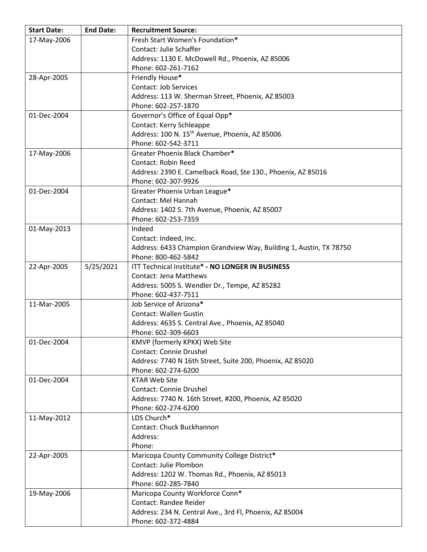| <b>Start Date:</b> | <b>End Date:</b> | <b>Recruitment Source:</b>                                         |
|--------------------|------------------|--------------------------------------------------------------------|
| 17-May-2006        |                  | Fresh Start Women's Foundation*                                    |
|                    |                  | Contact: Julie Schaffer                                            |
|                    |                  | Address: 1130 E. McDowell Rd., Phoenix, AZ 85006                   |
|                    |                  | Phone: 602-261-7162                                                |
| 28-Apr-2005        |                  | Friendly House*                                                    |
|                    |                  | Contact: Job Services                                              |
|                    |                  | Address: 113 W. Sherman Street, Phoenix, AZ 85003                  |
|                    |                  | Phone: 602-257-1870                                                |
| 01-Dec-2004        |                  | Governor's Office of Equal Opp*                                    |
|                    |                  | Contact: Kerry Schleappe                                           |
|                    |                  | Address: 100 N. 15 <sup>th</sup> Avenue, Phoenix, AZ 85006         |
|                    |                  | Phone: 602-542-3711                                                |
| 17-May-2006        |                  | Greater Phoenix Black Chamber*                                     |
|                    |                  | <b>Contact: Robin Reed</b>                                         |
|                    |                  |                                                                    |
|                    |                  | Address: 2390 E. Camelback Road, Ste 130., Phoenix, AZ 85016       |
|                    |                  | Phone: 602-307-9926                                                |
| 01-Dec-2004        |                  | Greater Phoenix Urban League*                                      |
|                    |                  | Contact: Mel Hannah                                                |
|                    |                  | Address: 1402 S. 7th Avenue, Phoenix, AZ 85007                     |
|                    |                  | Phone: 602-253-7359                                                |
| 01-May-2013        |                  | Indeed                                                             |
|                    |                  | Contact: Indeed, Inc.                                              |
|                    |                  | Address: 6433 Champion Grandview Way, Building 1, Austin, TX 78750 |
|                    |                  | Phone: 800-462-5842                                                |
| 22-Apr-2005        | 5/25/2021        | ITT Technical Institute* - NO LONGER IN BUSINESS                   |
|                    |                  | <b>Contact: Jena Matthews</b>                                      |
|                    |                  | Address: 5005 S. Wendler Dr., Tempe, AZ 85282                      |
|                    |                  | Phone: 602-437-7511                                                |
| 11-Mar-2005        |                  | Job Service of Arizona*                                            |
|                    |                  | <b>Contact: Wallen Gustin</b>                                      |
|                    |                  | Address: 4635 S. Central Ave., Phoenix, AZ 85040                   |
|                    |                  | Phone: 602-309-6603                                                |
| 01-Dec-2004        |                  | KMVP (formerly KPKX) Web Site                                      |
|                    |                  | <b>Contact: Connie Drushel</b>                                     |
|                    |                  | Address: 7740 N 16th Street, Suite 200, Phoenix, AZ 85020          |
|                    |                  | Phone: 602-274-6200                                                |
| 01-Dec-2004        |                  | <b>KTAR Web Site</b>                                               |
|                    |                  | <b>Contact: Connie Drushel</b>                                     |
|                    |                  | Address: 7740 N. 16th Street, #200, Phoenix, AZ 85020              |
|                    |                  | Phone: 602-274-6200                                                |
| 11-May-2012        |                  | LDS Church*                                                        |
|                    |                  | Contact: Chuck Buckhannon                                          |
|                    |                  | Address:                                                           |
|                    |                  | Phone:                                                             |
| 22-Apr-2005        |                  | Maricopa County Community College District*                        |
|                    |                  | Contact: Julie Plombon                                             |
|                    |                  | Address: 1202 W. Thomas Rd., Phoenix, AZ 85013                     |
|                    |                  | Phone: 602-285-7840                                                |
| 19-May-2006        |                  | Maricopa County Workforce Conn*                                    |
|                    |                  | <b>Contact: Randee Reider</b>                                      |
|                    |                  | Address: 234 N. Central Ave., 3rd Fl, Phoenix, AZ 85004            |
|                    |                  | Phone: 602-372-4884                                                |
|                    |                  |                                                                    |